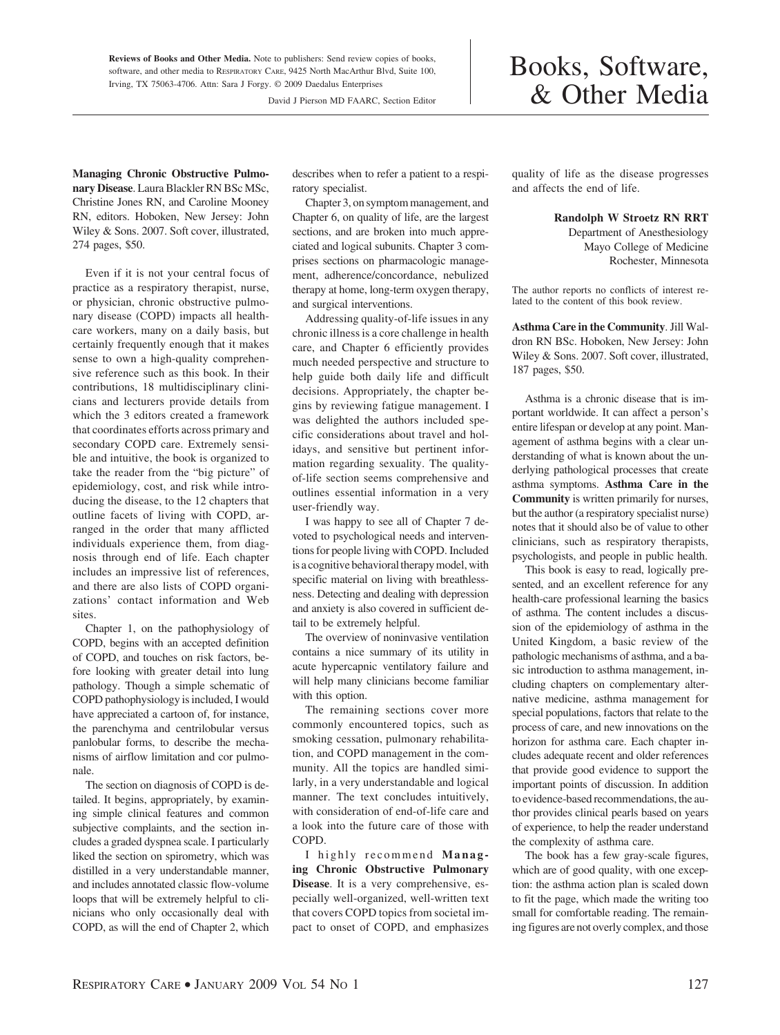**Reviews of Books and Other Media.** Note to publishers: Send review copies of books, software, and other media to RESPIRATORY CARE, 9425 North MacArthur Blvd, Suite 100, Irving, TX 75063-4706. Attn: Sara J Forgy. © 2009 Daedalus Enterprises

David J Pierson MD FAARC, Section Editor

## Books, Software, & Other Media

**Managing Chronic Obstructive Pulmonary Disease**. Laura Blackler RN BSc MSc, Christine Jones RN, and Caroline Mooney RN, editors. Hoboken, New Jersey: John Wiley & Sons. 2007. Soft cover, illustrated, 274 pages, \$50.

Even if it is not your central focus of practice as a respiratory therapist, nurse, or physician, chronic obstructive pulmonary disease (COPD) impacts all healthcare workers, many on a daily basis, but certainly frequently enough that it makes sense to own a high-quality comprehensive reference such as this book. In their contributions, 18 multidisciplinary clinicians and lecturers provide details from which the 3 editors created a framework that coordinates efforts across primary and secondary COPD care. Extremely sensible and intuitive, the book is organized to take the reader from the "big picture" of epidemiology, cost, and risk while introducing the disease, to the 12 chapters that outline facets of living with COPD, arranged in the order that many afflicted individuals experience them, from diagnosis through end of life. Each chapter includes an impressive list of references, and there are also lists of COPD organizations' contact information and Web sites.

Chapter 1, on the pathophysiology of COPD, begins with an accepted definition of COPD, and touches on risk factors, before looking with greater detail into lung pathology. Though a simple schematic of COPD pathophysiology is included, I would have appreciated a cartoon of, for instance, the parenchyma and centrilobular versus panlobular forms, to describe the mechanisms of airflow limitation and cor pulmonale.

The section on diagnosis of COPD is detailed. It begins, appropriately, by examining simple clinical features and common subjective complaints, and the section includes a graded dyspnea scale. I particularly liked the section on spirometry, which was distilled in a very understandable manner, and includes annotated classic flow-volume loops that will be extremely helpful to clinicians who only occasionally deal with COPD, as will the end of Chapter 2, which describes when to refer a patient to a respiratory specialist.

Chapter 3, on symptom management, and Chapter 6, on quality of life, are the largest sections, and are broken into much appreciated and logical subunits. Chapter 3 comprises sections on pharmacologic management, adherence/concordance, nebulized therapy at home, long-term oxygen therapy, and surgical interventions.

Addressing quality-of-life issues in any chronic illness is a core challenge in health care, and Chapter 6 efficiently provides much needed perspective and structure to help guide both daily life and difficult decisions. Appropriately, the chapter begins by reviewing fatigue management. I was delighted the authors included specific considerations about travel and holidays, and sensitive but pertinent information regarding sexuality. The qualityof-life section seems comprehensive and outlines essential information in a very user-friendly way.

I was happy to see all of Chapter 7 devoted to psychological needs and interventions for people living with COPD. Included is a cognitive behavioral therapy model, with specific material on living with breathlessness. Detecting and dealing with depression and anxiety is also covered in sufficient detail to be extremely helpful.

The overview of noninvasive ventilation contains a nice summary of its utility in acute hypercapnic ventilatory failure and will help many clinicians become familiar with this option.

The remaining sections cover more commonly encountered topics, such as smoking cessation, pulmonary rehabilitation, and COPD management in the community. All the topics are handled similarly, in a very understandable and logical manner. The text concludes intuitively, with consideration of end-of-life care and a look into the future care of those with COPD.

I highly recommend **Managing Chronic Obstructive Pulmonary Disease**. It is a very comprehensive, especially well-organized, well-written text that covers COPD topics from societal impact to onset of COPD, and emphasizes

quality of life as the disease progresses and affects the end of life.

**Randolph W Stroetz RN RRT**

Department of Anesthesiology Mayo College of Medicine Rochester, Minnesota

The author reports no conflicts of interest related to the content of this book review.

**Asthma Care in the Community**. Jill Waldron RN BSc. Hoboken, New Jersey: John Wiley & Sons. 2007. Soft cover, illustrated, 187 pages, \$50.

Asthma is a chronic disease that is important worldwide. It can affect a person's entire lifespan or develop at any point. Management of asthma begins with a clear understanding of what is known about the underlying pathological processes that create asthma symptoms. **Asthma Care in the Community** is written primarily for nurses, but the author (a respiratory specialist nurse) notes that it should also be of value to other clinicians, such as respiratory therapists, psychologists, and people in public health.

This book is easy to read, logically presented, and an excellent reference for any health-care professional learning the basics of asthma. The content includes a discussion of the epidemiology of asthma in the United Kingdom, a basic review of the pathologic mechanisms of asthma, and a basic introduction to asthma management, including chapters on complementary alternative medicine, asthma management for special populations, factors that relate to the process of care, and new innovations on the horizon for asthma care. Each chapter includes adequate recent and older references that provide good evidence to support the important points of discussion. In addition to evidence-based recommendations, the author provides clinical pearls based on years of experience, to help the reader understand the complexity of asthma care.

The book has a few gray-scale figures, which are of good quality, with one exception: the asthma action plan is scaled down to fit the page, which made the writing too small for comfortable reading. The remaining figures are not overly complex, and those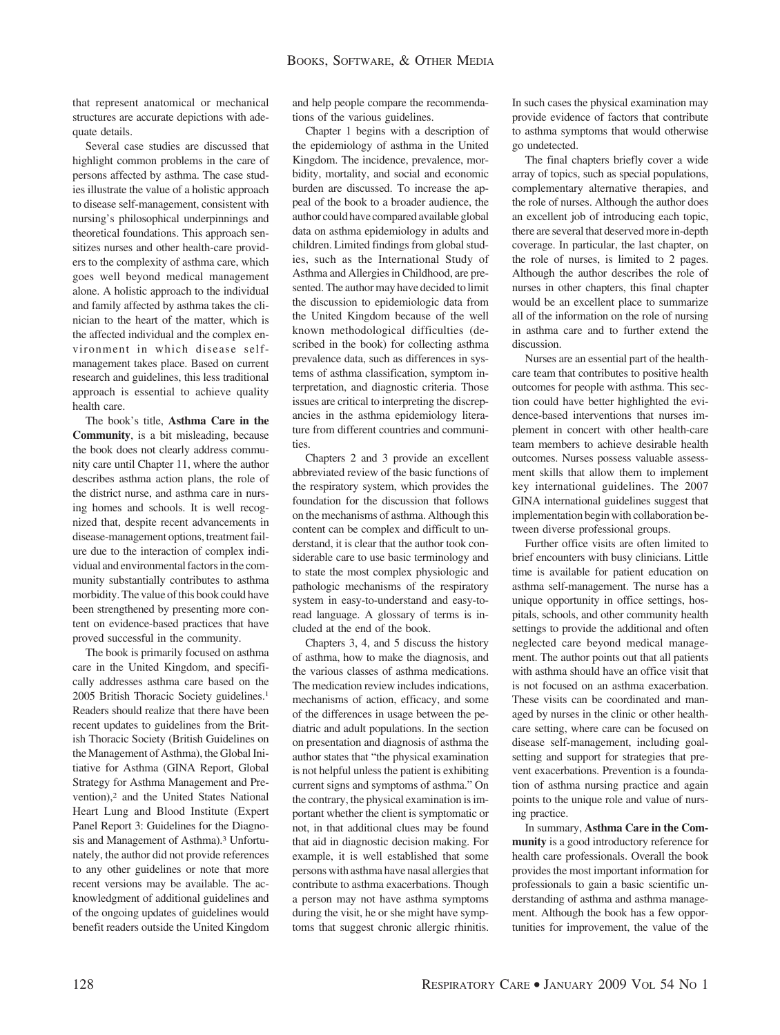that represent anatomical or mechanical structures are accurate depictions with adequate details.

Several case studies are discussed that highlight common problems in the care of persons affected by asthma. The case studies illustrate the value of a holistic approach to disease self-management, consistent with nursing's philosophical underpinnings and theoretical foundations. This approach sensitizes nurses and other health-care providers to the complexity of asthma care, which goes well beyond medical management alone. A holistic approach to the individual and family affected by asthma takes the clinician to the heart of the matter, which is the affected individual and the complex environment in which disease selfmanagement takes place. Based on current research and guidelines, this less traditional approach is essential to achieve quality health care.

The book's title, **Asthma Care in the Community**, is a bit misleading, because the book does not clearly address community care until Chapter 11, where the author describes asthma action plans, the role of the district nurse, and asthma care in nursing homes and schools. It is well recognized that, despite recent advancements in disease-management options, treatment failure due to the interaction of complex individual and environmental factors in the community substantially contributes to asthma morbidity. The value of this book could have been strengthened by presenting more content on evidence-based practices that have proved successful in the community.

The book is primarily focused on asthma care in the United Kingdom, and specifically addresses asthma care based on the 2005 British Thoracic Society guidelines.1 Readers should realize that there have been recent updates to guidelines from the British Thoracic Society (British Guidelines on the Management of Asthma), the Global Initiative for Asthma (GINA Report, Global Strategy for Asthma Management and Prevention),2 and the United States National Heart Lung and Blood Institute (Expert Panel Report 3: Guidelines for the Diagnosis and Management of Asthma).<sup>3</sup> Unfortunately, the author did not provide references to any other guidelines or note that more recent versions may be available. The acknowledgment of additional guidelines and of the ongoing updates of guidelines would benefit readers outside the United Kingdom and help people compare the recommendations of the various guidelines.

Chapter 1 begins with a description of the epidemiology of asthma in the United Kingdom. The incidence, prevalence, morbidity, mortality, and social and economic burden are discussed. To increase the appeal of the book to a broader audience, the author could have compared available global data on asthma epidemiology in adults and children. Limited findings from global studies, such as the International Study of Asthma and Allergies in Childhood, are presented. The author may have decided to limit the discussion to epidemiologic data from the United Kingdom because of the well known methodological difficulties (described in the book) for collecting asthma prevalence data, such as differences in systems of asthma classification, symptom interpretation, and diagnostic criteria. Those issues are critical to interpreting the discrepancies in the asthma epidemiology literature from different countries and communities.

Chapters 2 and 3 provide an excellent abbreviated review of the basic functions of the respiratory system, which provides the foundation for the discussion that follows on the mechanisms of asthma. Although this content can be complex and difficult to understand, it is clear that the author took considerable care to use basic terminology and to state the most complex physiologic and pathologic mechanisms of the respiratory system in easy-to-understand and easy-toread language. A glossary of terms is included at the end of the book.

Chapters 3, 4, and 5 discuss the history of asthma, how to make the diagnosis, and the various classes of asthma medications. The medication review includes indications, mechanisms of action, efficacy, and some of the differences in usage between the pediatric and adult populations. In the section on presentation and diagnosis of asthma the author states that "the physical examination is not helpful unless the patient is exhibiting current signs and symptoms of asthma." On the contrary, the physical examination is important whether the client is symptomatic or not, in that additional clues may be found that aid in diagnostic decision making. For example, it is well established that some persons with asthma have nasal allergies that contribute to asthma exacerbations. Though a person may not have asthma symptoms during the visit, he or she might have symptoms that suggest chronic allergic rhinitis.

In such cases the physical examination may provide evidence of factors that contribute to asthma symptoms that would otherwise go undetected.

The final chapters briefly cover a wide array of topics, such as special populations, complementary alternative therapies, and the role of nurses. Although the author does an excellent job of introducing each topic, there are several that deserved more in-depth coverage. In particular, the last chapter, on the role of nurses, is limited to 2 pages. Although the author describes the role of nurses in other chapters, this final chapter would be an excellent place to summarize all of the information on the role of nursing in asthma care and to further extend the discussion.

Nurses are an essential part of the healthcare team that contributes to positive health outcomes for people with asthma. This section could have better highlighted the evidence-based interventions that nurses implement in concert with other health-care team members to achieve desirable health outcomes. Nurses possess valuable assessment skills that allow them to implement key international guidelines. The 2007 GINA international guidelines suggest that implementation begin with collaboration between diverse professional groups.

Further office visits are often limited to brief encounters with busy clinicians. Little time is available for patient education on asthma self-management. The nurse has a unique opportunity in office settings, hospitals, schools, and other community health settings to provide the additional and often neglected care beyond medical management. The author points out that all patients with asthma should have an office visit that is not focused on an asthma exacerbation. These visits can be coordinated and managed by nurses in the clinic or other healthcare setting, where care can be focused on disease self-management, including goalsetting and support for strategies that prevent exacerbations. Prevention is a foundation of asthma nursing practice and again points to the unique role and value of nursing practice.

In summary, **Asthma Care in the Community** is a good introductory reference for health care professionals. Overall the book provides the most important information for professionals to gain a basic scientific understanding of asthma and asthma management. Although the book has a few opportunities for improvement, the value of the